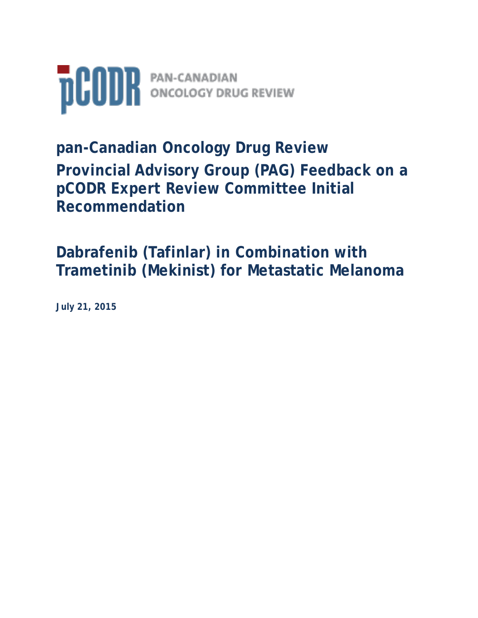

**pan-Canadian Oncology Drug Review Provincial Advisory Group (PAG) Feedback on a pCODR Expert Review Committee Initial Recommendation** 

**Dabrafenib (Tafinlar) in Combination with Trametinib (Mekinist) for Metastatic Melanoma**

**July 21, 2015**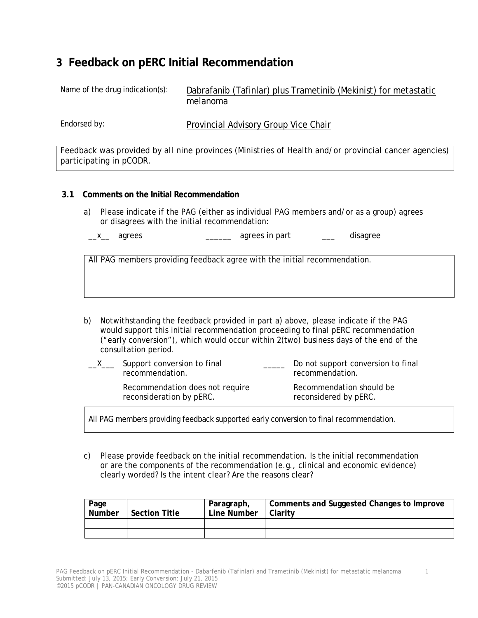# **3 Feedback on pERC Initial Recommendation**

Name of the drug indication(s): Dabrafanib (Tafinlar) plus Trametinib (Mekinist) for metastatic melanoma

Endorsed by: **Provincial Advisory Group Vice Chair** 

Feedback was provided by all nine provinces (Ministries of Health and/or provincial cancer agencies) participating in pCODR.

#### **3.1 Comments on the Initial Recommendation**

a) Please indicate if the PAG (either as individual PAG members and/or as a group) agrees or disagrees with the initial recommendation:

\_x\_ agrees \_\_\_\_\_\_\_\_ agrees in part \_\_\_ disagree

All PAG members providing feedback agree with the initial recommendation.

b) Notwithstanding the feedback provided in part a) above, please indicate if the PAG would support this initial recommendation proceeding to final pERC recommendation ("early conversion"), which would occur within 2(two) business days of the end of the consultation period.

| Support conversion to final<br>recommendation.              | Do not support conversion to final<br>recommendation. |
|-------------------------------------------------------------|-------------------------------------------------------|
| Recommendation does not require<br>reconsideration by pERC. | Recommendation should be<br>reconsidered by pERC.     |

All PAG members providing feedback supported early conversion to final recommendation.

c) Please provide feedback on the initial recommendation. Is the initial recommendation or are the components of the recommendation (e.g., clinical and economic evidence) clearly worded? Is the intent clear? Are the reasons clear?

| Page<br>Number | <b>Section Title</b> | Paragraph,<br>Line Number | Comments and Suggested Changes to Improve<br>Clarity |
|----------------|----------------------|---------------------------|------------------------------------------------------|
|                |                      |                           |                                                      |
|                |                      |                           |                                                      |

1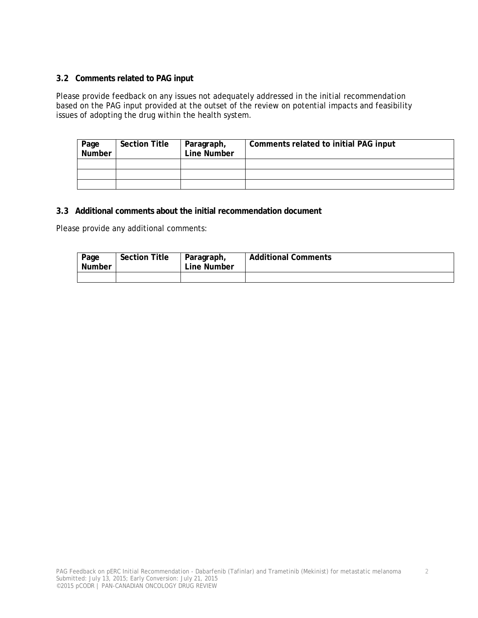### **3.2 Comments related to PAG input**

Please provide feedback on any issues not adequately addressed in the initial recommendation based on the PAG input provided at the outset of the review on potential impacts and feasibility issues of adopting the drug within the health system.

| Page<br>Number | <b>Section Title</b> | Paragraph,<br>Line Number | Comments related to initial PAG input |
|----------------|----------------------|---------------------------|---------------------------------------|
|                |                      |                           |                                       |
|                |                      |                           |                                       |
|                |                      |                           |                                       |

### **3.3 Additional comments about the initial recommendation document**

Please provide any additional comments:

| Page<br>Number | <b>Section Title</b> | Paragraph,<br>Line Number | <b>Additional Comments</b> |
|----------------|----------------------|---------------------------|----------------------------|
|                |                      |                           |                            |

2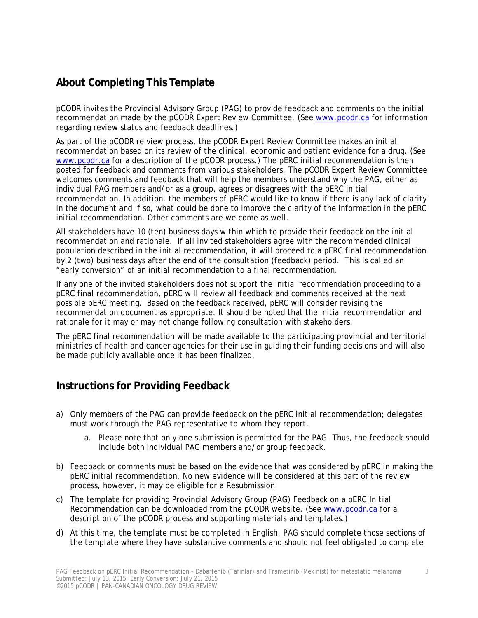# **About Completing This Template**

pCODR invites the Provincial Advisory Group (PAG) to provide feedback and comments on the initial recommendation made by the pCODR Expert Review Committee. (See www.pcodr.ca for information regarding review status and feedback deadlines.)

As part of the pCODR re view process, the pCODR Expert Review Committee makes an initial recommendation based on its review of the clinical, economic and patient evidence for a drug. (See www.pcodr.ca for a description of the pCODR process.) The pERC initial recommendation is then posted for feedback and comments from various stakeholders. The pCODR Expert Review Committee welcomes comments and feedback that will help the members understand why the PAG, either as individual PAG members and/or as a group, agrees or disagrees with the pERC initial recommendation. In addition, the members of pERC would like to know if there is any lack of clarity in the document and if so, what could be done to improve the clarity of the information in the pERC initial recommendation. Other comments are welcome as well.

All stakeholders have 10 (ten) business days within which to provide their feedback on the initial recommendation and rationale. If all invited stakeholders agree with the recommended clinical population described in the initial recommendation, it will proceed to a pERC final recommendation by 2 (two) business days after the end of the consultation (feedback) period. This is called an "early conversion" of an initial recommendation to a final recommendation.

If any one of the invited stakeholders does not support the initial recommendation proceeding to a pERC final recommendation, pERC will review all feedback and comments received at the next possible pERC meeting. Based on the feedback received, pERC will consider revising the recommendation document as appropriate. It should be noted that the initial recommendation and rationale for it may or may not change following consultation with stakeholders.

The pERC final recommendation will be made available to the participating provincial and territorial ministries of health and cancer agencies for their use in guiding their funding decisions and will also be made publicly available once it has been finalized.

### **Instructions for Providing Feedback**

- a) Only members of the PAG can provide feedback on the pERC initial recommendation; delegates must work through the PAG representative to whom they report.
	- a. Please note that only one submission is permitted for the PAG. Thus, the feedback should include both individual PAG members and/or group feedback.
- b) Feedback or comments must be based on the evidence that was considered by pERC in making the pERC initial recommendation. No new evidence will be considered at this part of the review process, however, it may be eligible for a Resubmission.
- c) The template for providing *Provincial Advisory Group (PAG) Feedback on a pERC Initial Recommendation* can be downloaded from the pCODR website. (See www.pcodr.ca for a description of the pCODR process and supporting materials and templates.)
- d) At this time, the template must be completed in English. PAG should complete those sections of the template where they have substantive comments and should not feel obligated to complete

3